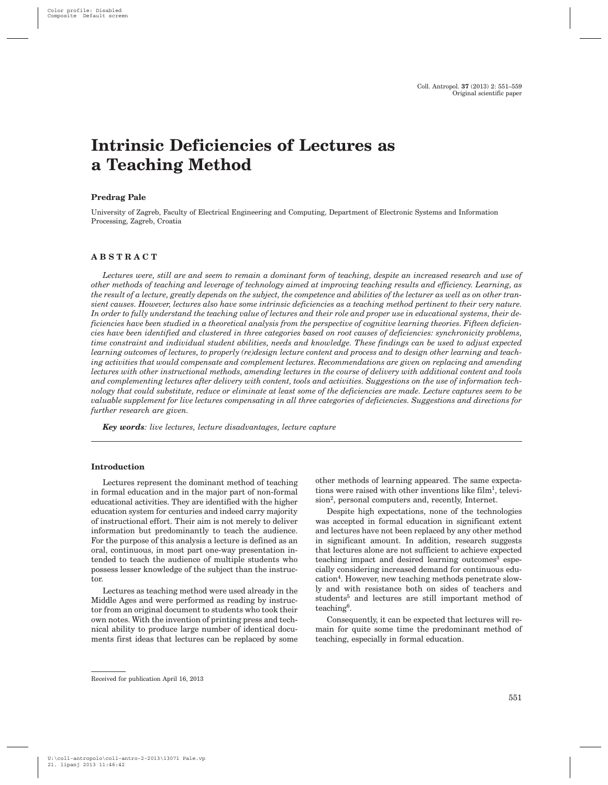# **Intrinsic Deficiencies of Lectures as a Teaching Method**

## **Predrag Pale**

University of Zagreb, Faculty of Electrical Engineering and Computing, Department of Electronic Systems and Information Processing, Zagreb, Croatia

## **ABSTRACT**

*Lectures were, still are and seem to remain a dominant form of teaching, despite an increased research and use of other methods of teaching and leverage of technology aimed at improving teaching results and efficiency. Learning, as the result of a lecture, greatly depends on the subject, the competence and abilities of the lecturer as well as on other transient causes. However, lectures also have some intrinsic deficiencies as a teaching method pertinent to their very nature. In order to fully understand the teaching value of lectures and their role and proper use in educational systems, their deficiencies have been studied in a theoretical analysis from the perspective of cognitive learning theories. Fifteen deficiencies have been identified and clustered in three categories based on root causes of deficiencies: synchronicity problems, time constraint and individual student abilities, needs and knowledge. These findings can be used to adjust expected learning outcomes of lectures, to properly (re)design lecture content and process and to design other learning and teaching activities that would compensate and complement lectures. Recommendations are given on replacing and amending lectures with other instructional methods, amending lectures in the course of delivery with additional content and tools and complementing lectures after delivery with content, tools and activities. Suggestions on the use of information technology that could substitute, reduce or eliminate at least some of the deficiencies are made. Lecture captures seem to be valuable supplement for live lectures compensating in all three categories of deficiencies. Suggestions and directions for further research are given.*

*Key words: live lectures, lecture disadvantages, lecture capture*

#### **Introduction**

Lectures represent the dominant method of teaching in formal education and in the major part of non-formal educational activities. They are identified with the higher education system for centuries and indeed carry majority of instructional effort. Their aim is not merely to deliver information but predominantly to teach the audience. For the purpose of this analysis a lecture is defined as an oral, continuous, in most part one-way presentation intended to teach the audience of multiple students who possess lesser knowledge of the subject than the instructor.

Lectures as teaching method were used already in the Middle Ages and were performed as reading by instructor from an original document to students who took their own notes. With the invention of printing press and technical ability to produce large number of identical documents first ideas that lectures can be replaced by some other methods of learning appeared. The same expectations were raised with other inventions like film<sup>1</sup>, television<sup>2</sup>, personal computers and, recently, Internet.

Despite high expectations, none of the technologies was accepted in formal education in significant extent and lectures have not been replaced by any other method in significant amount. In addition, research suggests that lectures alone are not sufficient to achieve expected teaching impact and desired learning outcomes<sup>3</sup> especially considering increased demand for continuous education4. However, new teaching methods penetrate slowly and with resistance both on sides of teachers and students<sup>5</sup> and lectures are still important method of teaching6.

Consequently, it can be expected that lectures will remain for quite some time the predominant method of teaching, especially in formal education.

Received for publication April 16, 2013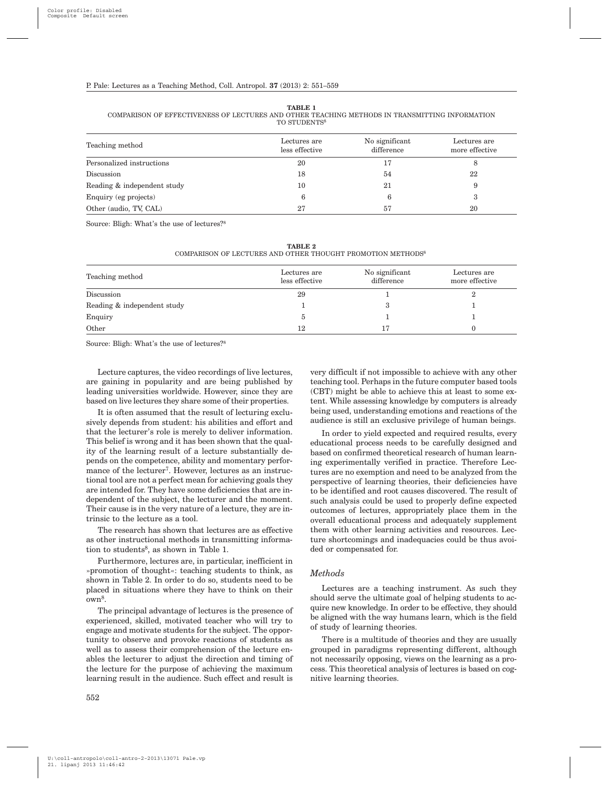**TABLE 1**

COMPARISON OF EFFECTIVENESS OF LECTURES AND OTHER TEACHING METHODS IN TRANSMITTING INFORMATION TO STUDENTS<sup>8</sup>

| Teaching method             | Lectures are<br>less effective | No significant<br>difference | Lectures are<br>more effective |
|-----------------------------|--------------------------------|------------------------------|--------------------------------|
| Personalized instructions   | 20                             | 17                           |                                |
| Discussion                  | 18                             | 54                           | 22                             |
| Reading & independent study | 10                             | 21                           | 9                              |
| Enquiry (eg projects)       | 6                              | 6                            | 3                              |
| Other (audio, TV, CAL)      | 27                             | 57                           | 20                             |

Source: Bligh: What's the use of lectures?8

| TABLE 2                                                                 |  |  |  |  |  |  |
|-------------------------------------------------------------------------|--|--|--|--|--|--|
| COMPARISON OF LECTURES AND OTHER THOUGHT PROMOTION METHODS <sup>8</sup> |  |  |  |  |  |  |

| Teaching method             | Lectures are<br>less effective | No significant<br>difference | Lectures are<br>more effective |
|-----------------------------|--------------------------------|------------------------------|--------------------------------|
| Discussion                  | 29                             |                              |                                |
| Reading & independent study |                                |                              |                                |
| Enquiry                     |                                |                              |                                |
| Other                       | 12                             | 17                           |                                |

Source: Bligh: What's the use of lectures?8

Lecture captures, the video recordings of live lectures, are gaining in popularity and are being published by leading universities worldwide. However, since they are based on live lectures they share some of their properties.

It is often assumed that the result of lecturing exclusively depends from student: his abilities and effort and that the lecturer's role is merely to deliver information. This belief is wrong and it has been shown that the quality of the learning result of a lecture substantially depends on the competence, ability and momentary performance of the lecturer<sup>7</sup>. However, lectures as an instructional tool are not a perfect mean for achieving goals they are intended for. They have some deficiencies that are independent of the subject, the lecturer and the moment. Their cause is in the very nature of a lecture, they are intrinsic to the lecture as a tool.

The research has shown that lectures are as effective as other instructional methods in transmitting information to students<sup>8</sup>, as shown in Table 1.

Furthermore, lectures are, in particular, inefficient in »promotion of thought«: teaching students to think, as shown in Table 2. In order to do so, students need to be placed in situations where they have to think on their own8.

The principal advantage of lectures is the presence of experienced, skilled, motivated teacher who will try to engage and motivate students for the subject. The opportunity to observe and provoke reactions of students as well as to assess their comprehension of the lecture enables the lecturer to adjust the direction and timing of the lecture for the purpose of achieving the maximum learning result in the audience. Such effect and result is

very difficult if not impossible to achieve with any other teaching tool. Perhaps in the future computer based tools (CBT) might be able to achieve this at least to some extent. While assessing knowledge by computers is already being used, understanding emotions and reactions of the audience is still an exclusive privilege of human beings.

In order to yield expected and required results, every educational process needs to be carefully designed and based on confirmed theoretical research of human learning experimentally verified in practice. Therefore Lectures are no exemption and need to be analyzed from the perspective of learning theories, their deficiencies have to be identified and root causes discovered. The result of such analysis could be used to properly define expected outcomes of lectures, appropriately place them in the overall educational process and adequately supplement them with other learning activities and resources. Lecture shortcomings and inadequacies could be thus avoided or compensated for.

#### *Methods*

Lectures are a teaching instrument. As such they should serve the ultimate goal of helping students to acquire new knowledge. In order to be effective, they should be aligned with the way humans learn, which is the field of study of learning theories.

There is a multitude of theories and they are usually grouped in paradigms representing different, although not necessarily opposing, views on the learning as a process. This theoretical analysis of lectures is based on cognitive learning theories.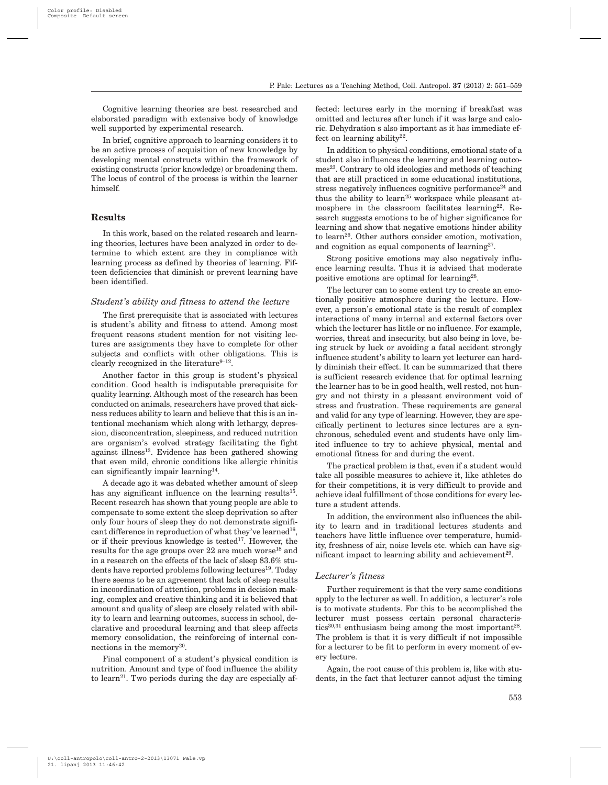Cognitive learning theories are best researched and elaborated paradigm with extensive body of knowledge well supported by experimental research.

In brief, cognitive approach to learning considers it to be an active process of acquisition of new knowledge by developing mental constructs within the framework of existing constructs (prior knowledge) or broadening them. The locus of control of the process is within the learner himself.

## **Results**

In this work, based on the related research and learning theories, lectures have been analyzed in order to determine to which extent are they in compliance with learning process as defined by theories of learning. Fifteen deficiencies that diminish or prevent learning have been identified.

#### *Student's ability and fitness to attend the lecture*

The first prerequisite that is associated with lectures is student's ability and fitness to attend. Among most frequent reasons student mention for not visiting lectures are assignments they have to complete for other subjects and conflicts with other obligations. This is clearly recognized in the literature $9-12$ .

Another factor in this group is student's physical condition. Good health is indisputable prerequisite for quality learning. Although most of the research has been conducted on animals, researchers have proved that sickness reduces ability to learn and believe that this is an intentional mechanism which along with lethargy, depression, disconcentration, sleepiness, and reduced nutrition are organism's evolved strategy facilitating the fight against illness13. Evidence has been gathered showing that even mild, chronic conditions like allergic rhinitis can significantly impair learning<sup>14</sup>.

A decade ago it was debated whether amount of sleep has any significant influence on the learning results<sup>15</sup>. Recent research has shown that young people are able to compensate to some extent the sleep deprivation so after only four hours of sleep they do not demonstrate significant difference in reproduction of what they've learned<sup>16</sup>, or if their previous knowledge is tested<sup>17</sup>. However, the results for the age groups over  $22$  are much worse<sup>18</sup> and in a research on the effects of the lack of sleep 83.6% students have reported problems following lectures<sup>19</sup>. Today there seems to be an agreement that lack of sleep results in incoordination of attention, problems in decision making, complex and creative thinking and it is believed that amount and quality of sleep are closely related with ability to learn and learning outcomes, success in school, declarative and procedural learning and that sleep affects memory consolidation, the reinforcing of internal connections in the memory<sup>20</sup>.

Final component of a student's physical condition is nutrition. Amount and type of food influence the ability to learn<sup>21</sup>. Two periods during the day are especially affected: lectures early in the morning if breakfast was omitted and lectures after lunch if it was large and caloric. Dehydration s also important as it has immediate effect on learning ability $22$ .

In addition to physical conditions, emotional state of a student also influences the learning and learning outcomes<sup>23</sup>. Contrary to old ideologies and methods of teaching that are still practiced in some educational institutions, stress negatively influences cognitive performance<sup>24</sup> and thus the ability to learn<sup>25</sup> workspace while pleasant atmosphere in the classroom facilitates learning<sup>22</sup>. Research suggests emotions to be of higher significance for learning and show that negative emotions hinder ability to learn<sup>26</sup>. Other authors consider emotion, motivation, and cognition as equal components of learning27.

Strong positive emotions may also negatively influence learning results. Thus it is advised that moderate positive emotions are optimal for learning28.

The lecturer can to some extent try to create an emotionally positive atmosphere during the lecture. However, a person's emotional state is the result of complex interactions of many internal and external factors over which the lecturer has little or no influence. For example, worries, threat and insecurity, but also being in love, being struck by luck or avoiding a fatal accident strongly influence student's ability to learn yet lecturer can hardly diminish their effect. It can be summarized that there is sufficient research evidence that for optimal learning the learner has to be in good health, well rested, not hungry and not thirsty in a pleasant environment void of stress and frustration. These requirements are general and valid for any type of learning. However, they are specifically pertinent to lectures since lectures are a synchronous, scheduled event and students have only limited influence to try to achieve physical, mental and emotional fitness for and during the event.

The practical problem is that, even if a student would take all possible measures to achieve it, like athletes do for their competitions, it is very difficult to provide and achieve ideal fulfillment of those conditions for every lecture a student attends.

In addition, the environment also influences the ability to learn and in traditional lectures students and teachers have little influence over temperature, humidity, freshness of air, noise levels etc. which can have significant impact to learning ability and achievement<sup>29</sup>.

## *Lecturer's fitness*

Further requirement is that the very same conditions apply to the lecturer as well. In addition, a lecturer's role is to motivate students. For this to be accomplished the lecturer must possess certain personal characteristics<sup>30,31</sup> enthusiasm being among the most important<sup>28</sup>. The problem is that it is very difficult if not impossible for a lecturer to be fit to perform in every moment of every lecture.

Again, the root cause of this problem is, like with students, in the fact that lecturer cannot adjust the timing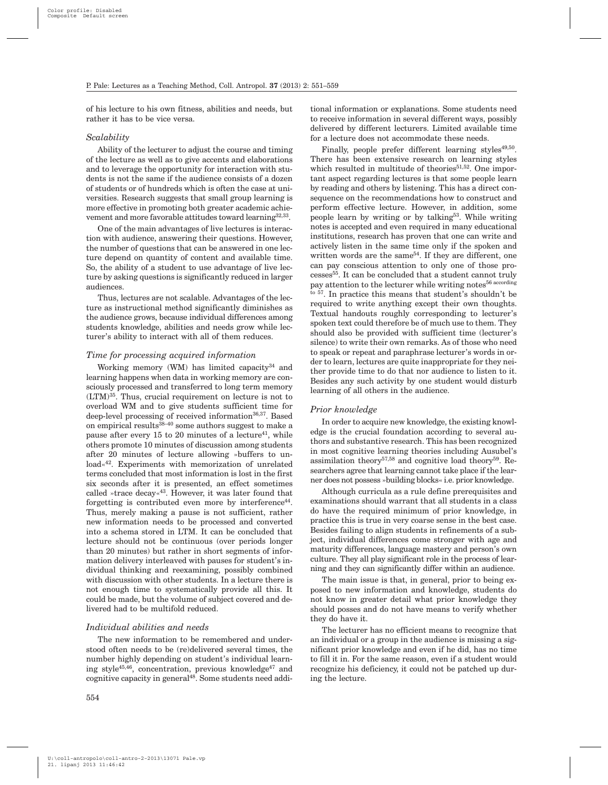of his lecture to his own fitness, abilities and needs, but rather it has to be vice versa.

## *Scalability*

Ability of the lecturer to adjust the course and timing of the lecture as well as to give accents and elaborations and to leverage the opportunity for interaction with students is not the same if the audience consists of a dozen of students or of hundreds which is often the case at universities. Research suggests that small group learning is more effective in promoting both greater academic achievement and more favorable attitudes toward learning<sup>32,33</sup>.

One of the main advantages of live lectures is interaction with audience, answering their questions. However, the number of questions that can be answered in one lecture depend on quantity of content and available time. So, the ability of a student to use advantage of live lecture by asking questions is significantly reduced in larger audiences.

Thus, lectures are not scalable. Advantages of the lecture as instructional method significantly diminishes as the audience grows, because individual differences among students knowledge, abilities and needs grow while lecturer's ability to interact with all of them reduces.

#### *Time for processing acquired information*

Working memory (WM) has limited capacity<sup>34</sup> and learning happens when data in working memory are consciously processed and transferred to long term memory (LTM)35. Thus, crucial requirement on lecture is not to overload WM and to give students sufficient time for deep-level processing of received information<sup>36,37</sup>. Based on empirical results38–40 some authors suggest to make a pause after every  $15$  to  $20$  minutes of a lecture<sup>41</sup>, while others promote 10 minutes of discussion among students after 20 minutes of lecture allowing »buffers to unload«42. Experiments with memorization of unrelated terms concluded that most information is lost in the first six seconds after it is presented, an effect sometimes called »trace decay«43. However, it was later found that forgetting is contributed even more by interference<sup>44</sup>. Thus, merely making a pause is not sufficient, rather new information needs to be processed and converted into a schema stored in LTM. It can be concluded that lecture should not be continuous (over periods longer than 20 minutes) but rather in short segments of information delivery interleaved with pauses for student's individual thinking and reexamining, possibly combined with discussion with other students. In a lecture there is not enough time to systematically provide all this. It could be made, but the volume of subject covered and delivered had to be multifold reduced.

#### *Individual abilities and needs*

The new information to be remembered and understood often needs to be (re)delivered several times, the number highly depending on student's individual learning style<sup>45,46</sup>, concentration, previous knowledge<sup>47</sup> and cognitive capacity in general48. Some students need addi-

tional information or explanations. Some students need to receive information in several different ways, possibly delivered by different lecturers. Limited available time for a lecture does not accommodate these needs.

Finally, people prefer different learning styles $49,50$ . There has been extensive research on learning styles which resulted in multitude of theories<sup>51,52</sup>. One important aspect regarding lectures is that some people learn by reading and others by listening. This has a direct consequence on the recommendations how to construct and perform effective lecture. However, in addition, some people learn by writing or by talking<sup>53</sup>. While writing notes is accepted and even required in many educational institutions, research has proven that one can write and actively listen in the same time only if the spoken and written words are the same<sup>54</sup>. If they are different, one can pay conscious attention to only one of those processes55. It can be concluded that a student cannot truly pay attention to the lecturer while writing notes<sup>56 according</sup> to 57. In practice this means that student's shouldn't be required to write anything except their own thoughts. Textual handouts roughly corresponding to lecturer's spoken text could therefore be of much use to them. They should also be provided with sufficient time (lecturer's silence) to write their own remarks. As of those who need to speak or repeat and paraphrase lecturer's words in order to learn, lectures are quite inappropriate for they neither provide time to do that nor audience to listen to it. Besides any such activity by one student would disturb learning of all others in the audience.

#### *Prior knowledge*

In order to acquire new knowledge, the existing knowledge is the crucial foundation according to several authors and substantive research. This has been recognized in most cognitive learning theories including Ausubel's assimilation theory<sup>57,58</sup> and cognitive load theory<sup>59</sup>. Researchers agree that learning cannot take place if the learner does not possess »building blocks« i.e. prior knowledge.

Although curricula as a rule define prerequisites and examinations should warrant that all students in a class do have the required minimum of prior knowledge, in practice this is true in very coarse sense in the best case. Besides failing to align students in refinements of a subject, individual differences come stronger with age and maturity differences, language mastery and person's own culture. They all play significant role in the process of learning and they can significantly differ within an audience.

The main issue is that, in general, prior to being exposed to new information and knowledge, students do not know in greater detail what prior knowledge they should posses and do not have means to verify whether they do have it.

The lecturer has no efficient means to recognize that an individual or a group in the audience is missing a significant prior knowledge and even if he did, has no time to fill it in. For the same reason, even if a student would recognize his deficiency, it could not be patched up during the lecture.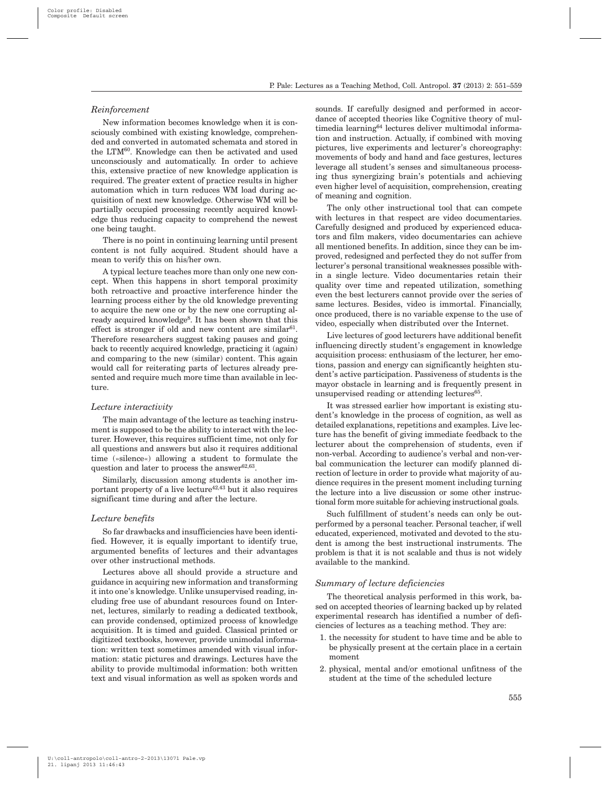## *Reinforcement*

New information becomes knowledge when it is consciously combined with existing knowledge, comprehended and converted in automated schemata and stored in the LTM<sup>60</sup>. Knowledge can then be activated and used unconsciously and automatically. In order to achieve this, extensive practice of new knowledge application is required. The greater extent of practice results in higher automation which in turn reduces WM load during acquisition of next new knowledge. Otherwise WM will be partially occupied processing recently acquired knowledge thus reducing capacity to comprehend the newest one being taught.

There is no point in continuing learning until present content is not fully acquired. Student should have a mean to verify this on his/her own.

A typical lecture teaches more than only one new concept. When this happens in short temporal proximity both retroactive and proactive interference hinder the learning process either by the old knowledge preventing to acquire the new one or by the new one corrupting already acquired knowledge<sup>8</sup>. It has been shown that this effect is stronger if old and new content are similar $61$ . Therefore researchers suggest taking pauses and going back to recently acquired knowledge, practicing it (again) and comparing to the new (similar) content. This again would call for reiterating parts of lectures already presented and require much more time than available in lecture.

#### *Lecture interactivity*

The main advantage of the lecture as teaching instrument is supposed to be the ability to interact with the lecturer. However, this requires sufficient time, not only for all questions and answers but also it requires additional time (»silence«) allowing a student to formulate the question and later to process the answer $62,63$ .

Similarly, discussion among students is another important property of a live lecture  $42,43$  but it also requires significant time during and after the lecture.

## *Lecture benefits*

So far drawbacks and insufficiencies have been identified. However, it is equally important to identify true, argumented benefits of lectures and their advantages over other instructional methods.

Lectures above all should provide a structure and guidance in acquiring new information and transforming it into one's knowledge. Unlike unsupervised reading, including free use of abundant resources found on Internet, lectures, similarly to reading a dedicated textbook, can provide condensed, optimized process of knowledge acquisition. It is timed and guided. Classical printed or digitized textbooks, however, provide unimodal information: written text sometimes amended with visual information: static pictures and drawings. Lectures have the ability to provide multimodal information: both written text and visual information as well as spoken words and sounds. If carefully designed and performed in accordance of accepted theories like Cognitive theory of multimedia learning64 lectures deliver multimodal information and instruction. Actually, if combined with moving pictures, live experiments and lecturer's choreography: movements of body and hand and face gestures, lectures leverage all student's senses and simultaneous processing thus synergizing brain's potentials and achieving even higher level of acquisition, comprehension, creating of meaning and cognition.

The only other instructional tool that can compete with lectures in that respect are video documentaries. Carefully designed and produced by experienced educators and film makers, video documentaries can achieve all mentioned benefits. In addition, since they can be improved, redesigned and perfected they do not suffer from lecturer's personal transitional weaknesses possible within a single lecture. Video documentaries retain their quality over time and repeated utilization, something even the best lecturers cannot provide over the series of same lectures. Besides, video is immortal. Financially, once produced, there is no variable expense to the use of video, especially when distributed over the Internet.

Live lectures of good lecturers have additional benefit influencing directly student's engagement in knowledge acquisition process: enthusiasm of the lecturer, her emotions, passion and energy can significantly heighten student's active participation. Passiveness of students is the mayor obstacle in learning and is frequently present in unsupervised reading or attending lectures $65$ .

It was stressed earlier how important is existing student's knowledge in the process of cognition, as well as detailed explanations, repetitions and examples. Live lecture has the benefit of giving immediate feedback to the lecturer about the comprehension of students, even if non-verbal. According to audience's verbal and non-verbal communication the lecturer can modify planned direction of lecture in order to provide what majority of audience requires in the present moment including turning the lecture into a live discussion or some other instructional form more suitable for achieving instructional goals.

Such fulfillment of student's needs can only be outperformed by a personal teacher. Personal teacher, if well educated, experienced, motivated and devoted to the student is among the best instructional instruments. The problem is that it is not scalable and thus is not widely available to the mankind.

#### *Summary of lecture deficiencies*

The theoretical analysis performed in this work, based on accepted theories of learning backed up by related experimental research has identified a number of deficiencies of lectures as a teaching method. They are:

- 1. the necessity for student to have time and be able to be physically present at the certain place in a certain moment
- 2. physical, mental and/or emotional unfitness of the student at the time of the scheduled lecture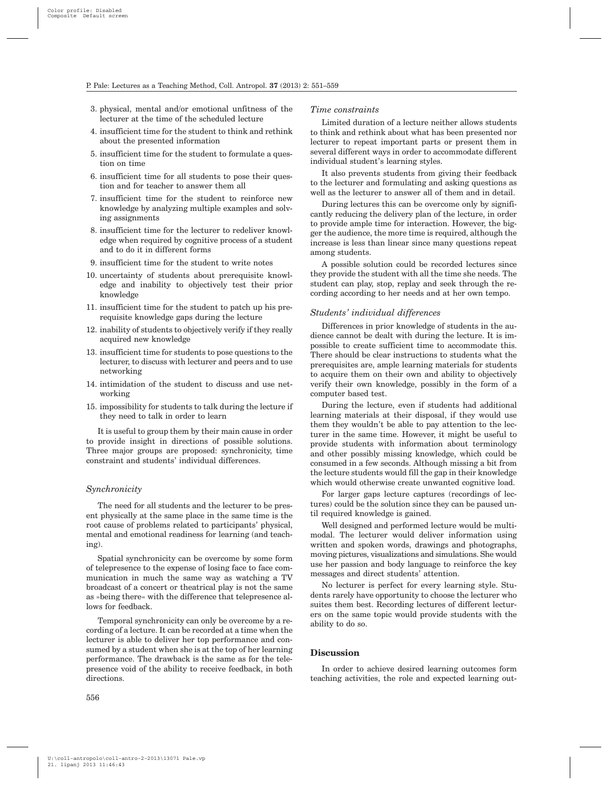- 3. physical, mental and/or emotional unfitness of the lecturer at the time of the scheduled lecture
- 4. insufficient time for the student to think and rethink about the presented information
- 5. insufficient time for the student to formulate a question on time
- 6. insufficient time for all students to pose their question and for teacher to answer them all
- 7. insufficient time for the student to reinforce new knowledge by analyzing multiple examples and solving assignments
- 8. insufficient time for the lecturer to redeliver knowledge when required by cognitive process of a student and to do it in different forms
- 9. insufficient time for the student to write notes
- 10. uncertainty of students about prerequisite knowledge and inability to objectively test their prior knowledge
- 11. insufficient time for the student to patch up his prerequisite knowledge gaps during the lecture
- 12. inability of students to objectively verify if they really acquired new knowledge
- 13. insufficient time for students to pose questions to the lecturer, to discuss with lecturer and peers and to use networking
- 14. intimidation of the student to discuss and use networking
- 15. impossibility for students to talk during the lecture if they need to talk in order to learn

It is useful to group them by their main cause in order to provide insight in directions of possible solutions. Three major groups are proposed: synchronicity, time constraint and students' individual differences.

## *Synchronicity*

The need for all students and the lecturer to be present physically at the same place in the same time is the root cause of problems related to participants' physical, mental and emotional readiness for learning (and teaching).

Spatial synchronicity can be overcome by some form of telepresence to the expense of losing face to face communication in much the same way as watching a TV broadcast of a concert or theatrical play is not the same as »being there« with the difference that telepresence allows for feedback.

Temporal synchronicity can only be overcome by a recording of a lecture. It can be recorded at a time when the lecturer is able to deliver her top performance and consumed by a student when she is at the top of her learning performance. The drawback is the same as for the telepresence void of the ability to receive feedback, in both directions.

#### *Time constraints*

Limited duration of a lecture neither allows students to think and rethink about what has been presented nor lecturer to repeat important parts or present them in several different ways in order to accommodate different individual student's learning styles.

It also prevents students from giving their feedback to the lecturer and formulating and asking questions as well as the lecturer to answer all of them and in detail

During lectures this can be overcome only by significantly reducing the delivery plan of the lecture, in order to provide ample time for interaction. However, the bigger the audience, the more time is required, although the increase is less than linear since many questions repeat among students.

A possible solution could be recorded lectures since they provide the student with all the time she needs. The student can play, stop, replay and seek through the recording according to her needs and at her own tempo.

### *Students' individual differences*

Differences in prior knowledge of students in the audience cannot be dealt with during the lecture. It is impossible to create sufficient time to accommodate this. There should be clear instructions to students what the prerequisites are, ample learning materials for students to acquire them on their own and ability to objectively verify their own knowledge, possibly in the form of a computer based test.

During the lecture, even if students had additional learning materials at their disposal, if they would use them they wouldn't be able to pay attention to the lecturer in the same time. However, it might be useful to provide students with information about terminology and other possibly missing knowledge, which could be consumed in a few seconds. Although missing a bit from the lecture students would fill the gap in their knowledge which would otherwise create unwanted cognitive load.

For larger gaps lecture captures (recordings of lectures) could be the solution since they can be paused until required knowledge is gained.

Well designed and performed lecture would be multimodal. The lecturer would deliver information using written and spoken words, drawings and photographs, moving pictures, visualizations and simulations. She would use her passion and body language to reinforce the key messages and direct students' attention.

No lecturer is perfect for every learning style. Students rarely have opportunity to choose the lecturer who suites them best. Recording lectures of different lecturers on the same topic would provide students with the ability to do so.

## **Discussion**

In order to achieve desired learning outcomes form teaching activities, the role and expected learning out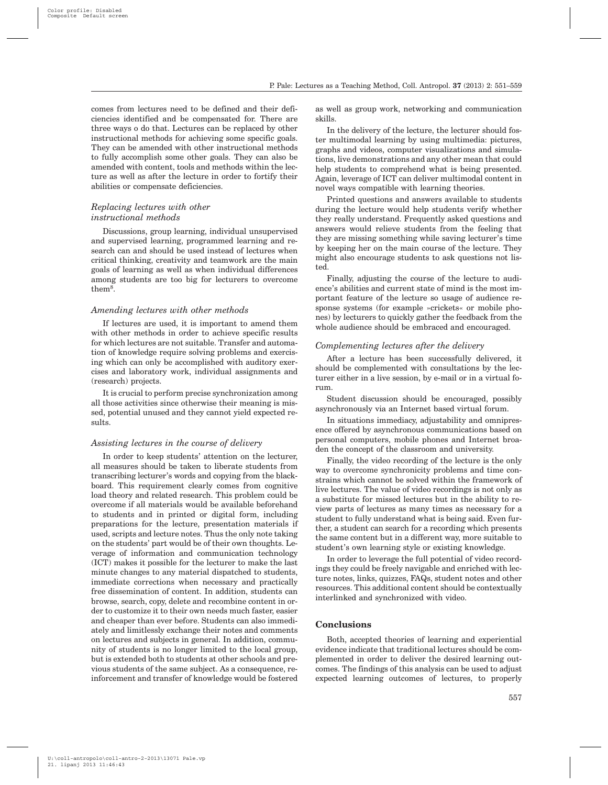comes from lectures need to be defined and their deficiencies identified and be compensated for. There are three ways o do that. Lectures can be replaced by other instructional methods for achieving some specific goals. They can be amended with other instructional methods to fully accomplish some other goals. They can also be amended with content, tools and methods within the lecture as well as after the lecture in order to fortify their abilities or compensate deficiencies.

## *Replacing lectures with other instructional methods*

Discussions, group learning, individual unsupervised and supervised learning, programmed learning and research can and should be used instead of lectures when critical thinking, creativity and teamwork are the main goals of learning as well as when individual differences among students are too big for lecturers to overcome them8.

## *Amending lectures with other methods*

If lectures are used, it is important to amend them with other methods in order to achieve specific results for which lectures are not suitable. Transfer and automation of knowledge require solving problems and exercising which can only be accomplished with auditory exercises and laboratory work, individual assignments and (research) projects.

It is crucial to perform precise synchronization among all those activities since otherwise their meaning is missed, potential unused and they cannot yield expected results.

#### *Assisting lectures in the course of delivery*

In order to keep students' attention on the lecturer, all measures should be taken to liberate students from transcribing lecturer's words and copying from the blackboard. This requirement clearly comes from cognitive load theory and related research. This problem could be overcome if all materials would be available beforehand to students and in printed or digital form, including preparations for the lecture, presentation materials if used, scripts and lecture notes. Thus the only note taking on the students' part would be of their own thoughts. Leverage of information and communication technology (ICT) makes it possible for the lecturer to make the last minute changes to any material dispatched to students, immediate corrections when necessary and practically free dissemination of content. In addition, students can browse, search, copy, delete and recombine content in order to customize it to their own needs much faster, easier and cheaper than ever before. Students can also immediately and limitlessly exchange their notes and comments on lectures and subjects in general. In addition, community of students is no longer limited to the local group, but is extended both to students at other schools and previous students of the same subject. As a consequence, reinforcement and transfer of knowledge would be fostered as well as group work, networking and communication skills.

In the delivery of the lecture, the lecturer should foster multimodal learning by using multimedia: pictures, graphs and videos, computer visualizations and simulations, live demonstrations and any other mean that could help students to comprehend what is being presented. Again, leverage of ICT can deliver multimodal content in novel ways compatible with learning theories.

Printed questions and answers available to students during the lecture would help students verify whether they really understand. Frequently asked questions and answers would relieve students from the feeling that they are missing something while saving lecturer's time by keeping her on the main course of the lecture. They might also encourage students to ask questions not listed.

Finally, adjusting the course of the lecture to audience's abilities and current state of mind is the most important feature of the lecture so usage of audience response systems (for example »crickets« or mobile phones) by lecturers to quickly gather the feedback from the whole audience should be embraced and encouraged.

## *Complementing lectures after the delivery*

After a lecture has been successfully delivered, it should be complemented with consultations by the lecturer either in a live session, by e-mail or in a virtual forum.

Student discussion should be encouraged, possibly asynchronously via an Internet based virtual forum.

In situations immediacy, adjustability and omnipresence offered by asynchronous communications based on personal computers, mobile phones and Internet broaden the concept of the classroom and university.

Finally, the video recording of the lecture is the only way to overcome synchronicity problems and time constrains which cannot be solved within the framework of live lectures. The value of video recordings is not only as a substitute for missed lectures but in the ability to review parts of lectures as many times as necessary for a student to fully understand what is being said. Even further, a student can search for a recording which presents the same content but in a different way, more suitable to student's own learning style or existing knowledge.

In order to leverage the full potential of video recordings they could be freely navigable and enriched with lecture notes, links, quizzes, FAQs, student notes and other resources. This additional content should be contextually interlinked and synchronized with video.

#### **Conclusions**

Both, accepted theories of learning and experiential evidence indicate that traditional lectures should be complemented in order to deliver the desired learning outcomes. The findings of this analysis can be used to adjust expected learning outcomes of lectures, to properly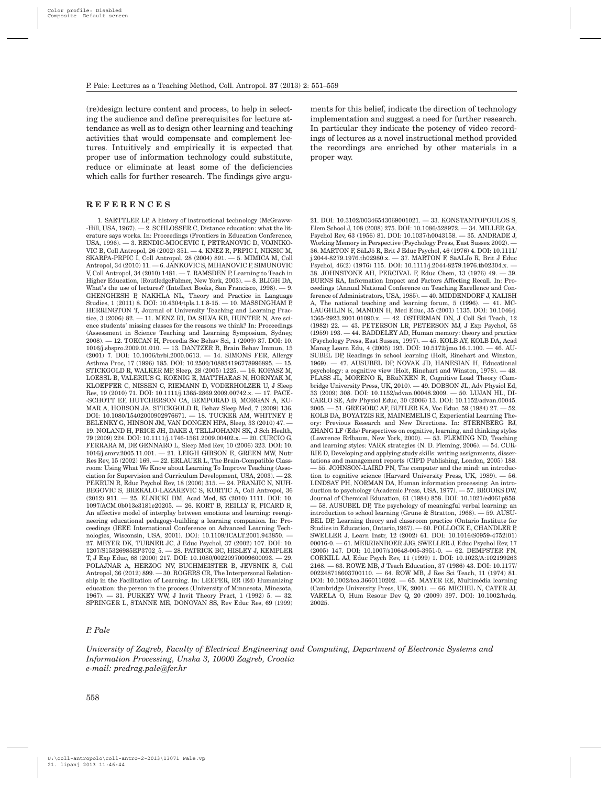(re)design lecture content and process, to help in selecting the audience and define prerequisites for lecture attendance as well as to design other learning and teaching activities that would compensate and complement lectures. Intuitively and empirically it is expected that proper use of information technology could substitute, reduce or eliminate at least some of the deficiencies which calls for further research. The findings give argu-

# **REFERENCES**

1. SAETTLER LP, A history of instructional technology (McGraww- -Hill, USA, 1967). — 2. SCHLOSSER C, Distance education: what the literature says works. In: Proceedings (Frontiers in Education Conference, USA, 1996). — 3. RENDIC-MIOCEVIC I, PETRANOVIC D, VOJNIKO-VIC B, Coll Antropol, 26 (2002) 351. — 4. KNEZ R, PRPIC I, NIKSIC M, SKARPA-PRPIC I, Coll Antropol, 28 (2004) 891. — 5. MIMICA M, Coll Antropol, 34 (2010) 11. - 6. JANKOVIC S, MIHANOVIC F, SIMUNOVIC V, Coll Antropol, 34 (2010) 1481. — 7. RAMSDEN P, Learning to Teach in Higher Education, (RoutledgeFalmer, New York, 2003). — 8. BLIGH DA, What's the use of lectures? (Intellect Books, San Francisco, 1998). — 9. GHENGHESH P, NAKHLA NL, Theory and Practice in Language Studies, 1 (2011) 8. DOI: 10.4304/tpls.1.1.8-15. - 10. MASSINGHAM P, HERRINGTON T, Journal of University Teaching and Learning Practice, 3 (2006) 82. — 11. MENZ RI, DA SILVA KB, HUNTER N, Are science students' missing classes for the reasons we think? In: Proceedings (Assessment in Science Teaching and Learning Symposium, Sydney, 2008). — 12. TOKCAN H, Procedia Soc Behav Sci, 1 (2009) 37. DOI: 10. 1016/j.sbspro.2009.01.010. — 13. DANTZER R, Brain Behav Immun, 15 (2001) 7. DOI: 10.1006/brbi.2000.0613. — 14. SIMONS FER, Allergy Asthma Proc, 17 (1996) 185. DOI: 10.2500/108854196778996895. — 15. STICKGOLD R, WALKER MP, Sleep, 28 (2005) 1225. — 16. KOPASZ M, LOESSL B, VALERIUS G, KOENIG E, MATTHAEAS N, HORNYAK M, KLOEPFER C, NISSEN C, RIEMANN D, VODERHOLZER U, J Sleep Res, 19 (2010) 71. DOI: 10.1111/j.1365-2869.2009.00742.x. — 17. PACE- -SCHOTT EF, HUTCHERSON CA, BEMPORAD B, MORGAN A, KU-MAR A, HOBSON JA, STICKGOLD R, Behav Sleep Med, 7 (2009) 136. DOI: 10.1080/15402000902976671. — 18. TUCKER AM, WHITNEY P, BELENKY G, HINSON JM, VAN DONGEN HPA, Sleep, 33 (2010) 47. — 19. NOLAND H, PRICE JH, DAKE J, TELLJOHANN SK, J Sch Health, 79 (2009) 224. DOI: 10.1111/j.1746-1561.2009.00402.x. — 20. CURCIO G, FERRARA M, DE GENNARO L, Sleep Med Rev, 10 (2006) 323. DOI: 10. 1016/j.smrv.2005.11.001. — 21. LEIGH GIBSON E, GREEN MW, Nutr Res Rev, 15 (2002) 169. — 22. ERLAUER L, The Brain-Compatible Classroom: Using What We Know about Learning To Improve Teaching (Association for Supervision and Curriculum Development, USA, 2003). — 23. PEKRUN R, Educ Psychol Rev, 18 (2006) 315. — 24. PRANJIC N, NUH-BEGOVIC S, BREKALO-LAZAREVIC S, KURTIC A, Coll Antropol, 36 (2012) 911. — 25. ELNICKI DM, Acad Med, 85 (2010) 1111. DOI: 10. 1097/ACM.0b013e3181e20205. — 26. KORT B, REILLY R, PICARD R, An affective model of interplay between emotions and learning: reengineering educational pedagogy-building a learning companion. In: Proceedings (IEEE International Conference on Advanced Learning Technologies, Wisconsin, USA, 2001). DOI: 10.1109/ICALT.2001.943850. — 27. MEYER DK, TURNER JC, J Educ Psychol, 37 (2002) 107. DOI: 10. 1207/S15326985EP3702\_5. — 28. PATRICK BC, HISLEY J, KEMPLER T, J Exp Educ, 68 (2000) 217. DOI: 10.1080/00220970009600093. — 29. POLAJNAR A, HERZOG NV, BUCHMEISTER B, JEVSNIK S, Coll Antropol, 36 (2012) 899. — 30. ROGERS CR, The Interpersonal Relationship in the Facilitation of Learning. In: LEEPER, RR (Ed) Humanizing education: the person in the process (University of Minnesota, Minesota, 1967). — 31. PURKEY WW, J Invit Theory Pract, 1 (1992) 5. -SPRINGER L, STANNE ME, DONOVAN SS, Rev Educ Res, 69 (1999) ments for this belief, indicate the direction of technology implementation and suggest a need for further research. In particular they indicate the potency of video recordings of lectures as a novel instructional method provided the recordings are enriched by other materials in a proper way.

21. DOI: 10.3102/00346543069001021. — 33. KONSTANTOPOULOS S, Elem School J, 108 (2008) 275. DOI: 10.1086/528972. — 34. MILLER GA, Psychol Rev, 63 (1956) 81. DOI: 10.1037/h0043158. — 35. ANDRADE J, Working Memory in Perspective (Psychology Press, East Sussex 2002). — 36. MARTON F, SäLJö R, Brit J Educ Psychol, 46 (1976) 4. DOI: 10.1111/ j.2044-8279.1976.tb02980.x. — 37. MARTON F, SäALJö R, Brit J Educ Psychol, 46(2) (1976) 115. DOI: 10.1111/j.2044-8279.1976.tb02304.x. — 38. JOHNSTONE AH, PERCIVAL F, Educ Chem, 13 (1976) 49. — 39. BURNS RA, Information Impact and Factors Affecting Recall. In: Proceedings (Annual National Conference on Teaching Excellence and Conference of Administrators, USA, 1985). — 40. MIDDENDORF J, KALISH A, The national teaching and learning forum,  $5(1996)$ .  $-41$ . MC-LAUGHLIN K, MANDIN H, Med Educ, 35 (2001) 1135. DOI: 10.1046/j. 1365-2923.2001.01090.x. — 42. OSTERMAN DN, J Coll Sci Teach, 12 (1982) 22. — 43. PETERSON LR, PETERSON MJ, J Exp Psychol, 58 (1959) 193. — 44. BADDELEY AD, Human memory: theory and practice (Psychology Press, East Sussex, 1997). — 45. KOLB AY, KOLB DA, Acad Manag Learn Edu, 4 (2005) 193. DOI: 10.5172/jmo.16.1.100. — 46. AU-SUBEL DP, Readings in school learning (Holt, Rinehart and Winston, 1969). — 47. AUSUBEL DP, NOVAK JD, HANESIAN H, Educational psychology: a cognitive view (Holt, Rinehart and Winston, 1978). — 48. PLASS JL, MORENO R, BRüNKEN R, Cognitive Load Theory (Cambridge University Press, UK, 2010). — 49. DOBSON JL, Adv Physiol Ed, 33 (2009) 308. DOI: 10.1152/advan.00048.2009. — 50. LUJAN HL, DI-CARLO SE, Adv Physiol Educ, 30 (2006) 13. DOI: 10.1152/advan.00045. 2005. — 51. GREGORC AF, BUTLER KA, Voc Educ, 59 (1984) 27. — 52. KOLB DA, BOYATZIS RE, MAINEMELIS C, Experiential Learning Theory: Previous Research and New Directions. In: STERNBERG RJ, ZHANG LF (Eds) Perspectives on cognitive, learning, and thinking styles (Lawrence Erlbaum, New York, 2000). — 53. FLEMING ND, Teaching and learning styles: VARK strategies (N. D. Fleming, 2006). — 54. CUR-RIE D, Developing and applying study skills: writing assignments, dissertations and management reports (CIPD Publishing, London, 2005) 188. — 55. JOHNSON-LAIRD PN, The computer and the mind: an introduction to cognitive science (Harvard University Press, UK, 1989). — 56. LINDSAY PH, NORMAN DA, Human information processing: An introduction to psychology (Academic Press, USA, 1977). — 57. BROOKS DW, Journal of Chemical Education, 61 (1984) 858. DOI: 10.1021/ed061p858. — 58. AUSUBEL DP, The psychology of meaningful verbal learning: an introduction to school learning (Grune & Stratton, 1968). — 59. AUSU-BEL DP, Learning theory and classroom practice (Ontario Institute for Studies in Education, Ontario,1967). — 60. POLLOCK E, CHANDLER P, SWELLER J, Learn Instr, 12 (2002) 61. DOI: 10.1016/S0959-4752(01) 00016-0. — 61. MERRIëNBOER JJG, SWELLER J, Educ Psychol Rev, 17 (2005) 147. DOI: 10.1007/s10648-005-3951-0. — 62. DEMPSTER FN, CORKILL AJ, Educ Psych Rev, 11 (1999) 1. DOI: 10.1023/A:102199263 2168. — 63. ROWE MB, J Teach Education, 37 (1986) 43. DOI: 10.1177/ 002248718603700110. — 64. ROW MB, J Res Sci Teach, 11 (1974) 81. DOI: 10.1002/tea.3660110202. — 65. MAYER RE, Multimédia learning (Cambridge University Press, UK, 2001). — 66. MICHEL N, CATER JJ, VARELA O, Hum Resour Dev Q, 20 (2009) 397. DOI: 10.1002/hrdq. 20025.

## *P. Pale*

*University of Zagreb, Faculty of Electrical Engineering and Computing, Department of Electronic Systems and Information Processing, Unska 3, 10000 Zagreb, Croatia e-mail: predrag.pale@fer.hr*